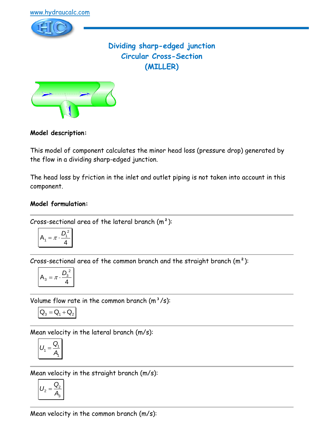

**Dividing sharp-edged junction Circular Cross-Section (MILLER)**



# **Model description:**

This model of component calculates the minor head loss (pressure drop) generated by the flow in a dividing sharp-edged junction.

The head loss by friction in the inlet and outlet piping is not taken into account in this component.

# **Model formulation:**

Cross-sectional area of the lateral branch  $(m<sup>2</sup>)$ :

$$
A_1 = \pi \cdot \frac{D_1^2}{4}
$$

Cross-sectional area of the common branch and the straight branch  $(m<sup>2</sup>)$ :

$$
A_3 = \pi \cdot \frac{D_3^2}{4}
$$

Volume flow rate in the common branch  $(m^3/s)$ :

$$
\mathbf{Q}_3 = \mathbf{Q}_1 + \mathbf{Q}_2
$$

Mean velocity in the lateral branch (m/s):

$$
U_1 = \frac{Q_1}{A_1}
$$

Mean velocity in the straight branch (m/s):

$$
U_2 = \frac{Q_2}{A_3}
$$

Mean velocity in the common branch (m/s):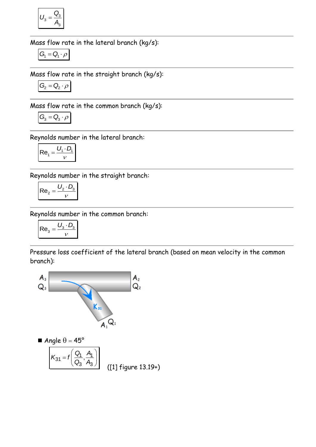$$
U_3 = \frac{Q_3}{A_3}
$$

Mass flow rate in the lateral branch (kg/s):

$$
G_{\!\scriptscriptstyle 1} = Q_{\!\scriptscriptstyle 1} \cdot \rho
$$

Mass flow rate in the straight branch (kg/s):

$$
G_2 = Q_2 \cdot \rho
$$

Mass flow rate in the common branch (kg/s):

$$
G_3=Q_3\cdot\rho
$$

Reynolds number in the lateral branch:

$$
\mathsf{Re}_1 = \frac{U_1 \cdot D_1}{V}
$$

Reynolds number in the straight branch:

$$
\mathsf{Re}_2 = \frac{U_2 \cdot D_3}{v}
$$

Reynolds number in the common branch:

$$
\text{Re}_3 = \frac{U_3 \cdot D_3}{\nu}
$$

Pressure loss coefficient of the lateral branch (based on mean velocity in the common branch):



Angle  $\theta = 45^{\circ}$ 

$$
K_{31} = f\left(\frac{Q_1}{Q_3}, \frac{A_1}{A_3}\right)
$$
 (11) figure 13.19+)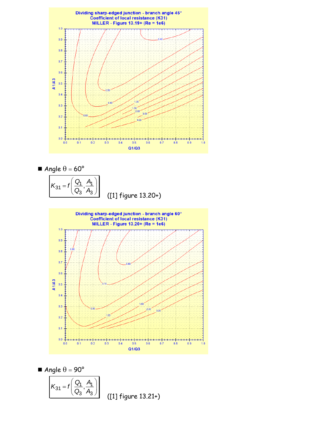

$$
\blacksquare \text{ Angle } \theta = 60^{\circ}
$$

 $\left( \frac{Q_1}{1} A_1 \right)$  $K_{31} = f \left( \frac{Q_1}{Q_1}, \frac{A}{Q_2} \right)$  $\overline{A_3}$ ,  $= f\left(\frac{Q_1}{Q_3}, \frac{H}{A_3}\right)$ ([1] figure 13.20+)



$$
\blacksquare \text{ Angle } \theta = 90^{\circ}
$$

$$
K_{31} = f\left(\frac{Q_1}{Q_3}, \frac{A_1}{A_3}\right)
$$

([1] figure 13.21+)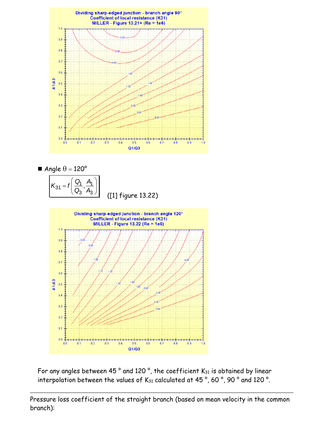







For any angles between 45 ° and 120 °, the coefficient K<sub>31</sub> is obtained by linear interpolation between the values of  $K_{31}$  calculated at 45°, 60°, 90° and 120°.

Pressure loss coefficient of the straight branch (based on mean velocity in the common branch):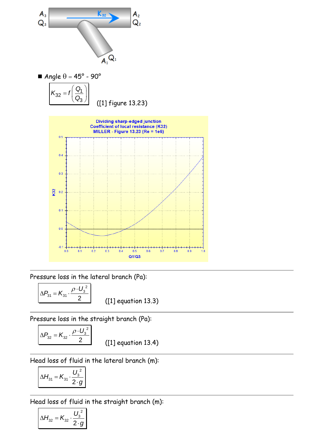

Pressure loss in the lateral branch (Pa):

$$
\Delta P_{31} = K_{31} \cdot \frac{\rho \cdot U_3^2}{2}
$$

([1] equation 13.3)

Pressure loss in the straight branch (Pa):

$$
\Delta P_{32} = K_{32} \cdot \frac{\rho \cdot U_3^2}{2}
$$

([1] equation 13.4)

Head loss of fluid in the lateral branch (m):

$$
\Delta H_{31} = K_{31} \cdot \frac{U_3^2}{2 \cdot g}
$$

Head loss of fluid in the straight branch (m):

$$
\Delta H_{32} = K_{32} \cdot \frac{U_3^2}{2 \cdot g}
$$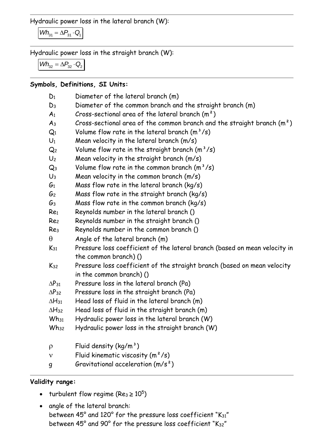Hydraulic power loss in the lateral branch (W):

 $Wh_{31} = \Delta P_{31} \cdot Q_1$ 

Hydraulic power loss in the straight branch (W):

 $Wh_{32} = \Delta P_{32} \cdot Q_2$ 

## **Symbols, Definitions, SI Units:**

| D <sub>1</sub>   | Diameter of the lateral branch (m)                                         |
|------------------|----------------------------------------------------------------------------|
| $D_3$            | Diameter of the common branch and the straight branch (m)                  |
| A <sub>1</sub>   | Cross-sectional area of the lateral branch $(m2)$                          |
| $A_3$            | Cross-sectional area of the common branch and the straight branch $(m^2)$  |
| $Q_1$            | Volume flow rate in the lateral branch $(m^3/s)$                           |
| $U_1$            | Mean velocity in the lateral branch (m/s)                                  |
| Q <sub>2</sub>   | Volume flow rate in the straight branch $(m^3/s)$                          |
| U <sub>2</sub>   | Mean velocity in the straight branch (m/s)                                 |
| $\mathsf{Q}_3$   | Volume flow rate in the common branch $(m^3/s)$                            |
| $U_3$            | Mean velocity in the common branch $(m/s)$                                 |
| G <sub>1</sub>   | Mass flow rate in the lateral branch (kg/s)                                |
| G <sub>2</sub>   | Mass flow rate in the straight branch ( $kg/s$ )                           |
| $G_3$            | Mass flow rate in the common branch $(kq/s)$                               |
| Re <sub>1</sub>  | Reynolds number in the lateral branch ()                                   |
| Re <sub>2</sub>  | Reynolds number in the straight branch ()                                  |
| Re <sub>3</sub>  | Reynolds number in the common branch ()                                    |
| $\theta$         | Angle of the lateral branch (m)                                            |
| $K_{31}$         | Pressure loss coefficient of the lateral branch (based on mean velocity in |
|                  | the common branch) ()                                                      |
| $K_{32}$         | Pressure loss coefficient of the straight branch (based on mean velocity   |
|                  | in the common branch) ()                                                   |
| $\Delta P_{31}$  | Pressure loss in the lateral branch (Pa)                                   |
| $\Delta P_{32}$  | Pressure loss in the straight branch (Pa)                                  |
| $\Delta H_{31}$  | Head loss of fluid in the lateral branch (m)                               |
| $\Delta H_{32}$  | Head loss of fluid in the straight branch (m)                              |
| $Wh_{31}$        | Hydraulic power loss in the lateral branch (W)                             |
| Wh <sub>32</sub> | Hydraulic power loss in the straight branch (W)                            |
| $\rho$           | Fluid density $(kg/m^3)$                                                   |
| ν                | Fluid kinematic viscosity $(m^2/s)$                                        |
| 9                | Gravitational acceleration $(m/s^2)$                                       |

### **Validity range:**

- turbulent flow regime (Re<sub>3</sub>  $\geq 10^5$ )
- angle of the lateral branch: between 45° and 120° for the pressure loss coefficient "K31" between 45° and 90° for the pressure loss coefficient "K32"